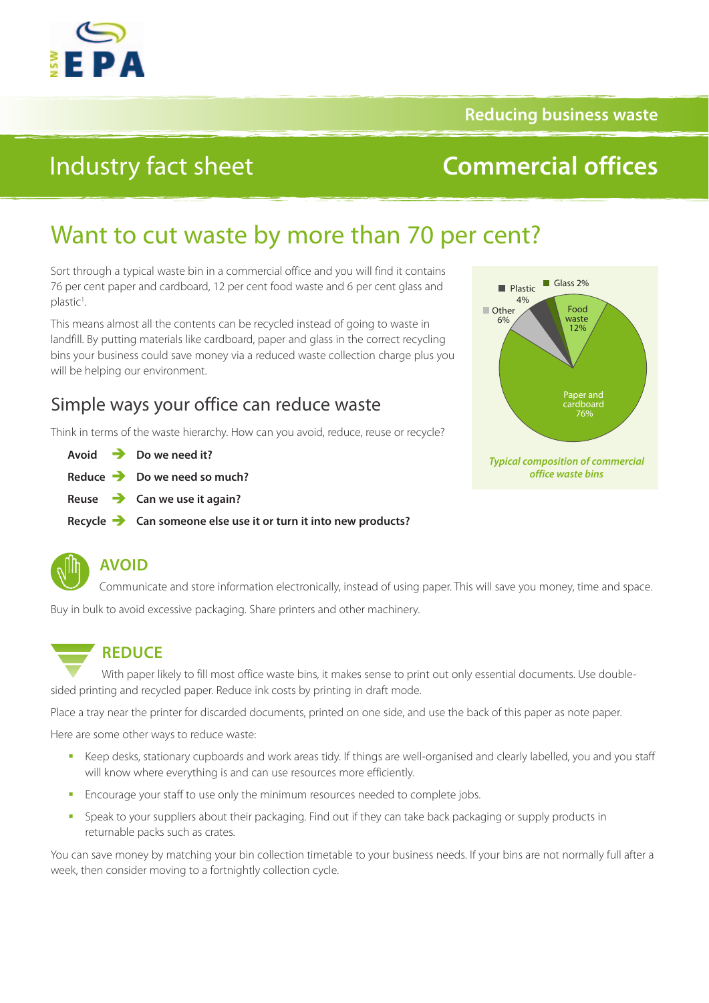

**Reducing business waste**

# Industry fact sheet

# **Commercial offices**

# Want to cut waste by more than 70 per cent?

Sort through a typical waste bin in a commercial office and you will find it contains 76 per cent paper and cardboard, 12 per cent food waste and 6 per cent glass and plastic<sup>1</sup>. .

This means almost all the contents can be recycled instead of going to waste in landfill. By putting materials like cardboard, paper and glass in the correct recycling bins your business could save money via a reduced waste collection charge plus you will be helping our environment.

## Simple ways your office can reduce waste

Think in terms of the waste hierarchy. How can you avoid, reduce, reuse or recycle?

| Avoid | Do we need it? |
|-------|----------------|
|       |                |

- **Reduce Do we need so much?**
- **Reuse Can we use it again?**
- **Recycle Can someone else use it or turn it into new products?**



### **AVOID**

Communicate and store information electronically, instead of using paper. This will save you money, time and space.

Buy in bulk to avoid excessive packaging. Share printers and other machinery.

## **REDUCE**

With paper likely to fill most office waste bins, it makes sense to print out only essential documents. Use doublesided printing and recycled paper. Reduce ink costs by printing in draft mode.

Place a tray near the printer for discarded documents, printed on one side, and use the back of this paper as note paper.

Here are some other ways to reduce waste:

- Keep desks, stationary cupboards and work areas tidy. If things are well-organised and clearly labelled, you and you staff will know where everything is and can use resources more efficiently.
- **Encourage your staff to use only the minimum resources needed to complete jobs.**
- **Speak to your suppliers about their packaging. Find out if they can take back packaging or supply products in** returnable packs such as crates.

You can save money by matching your bin collection timetable to your business needs. If your bins are not normally full after a week, then consider moving to a fortnightly collection cycle.